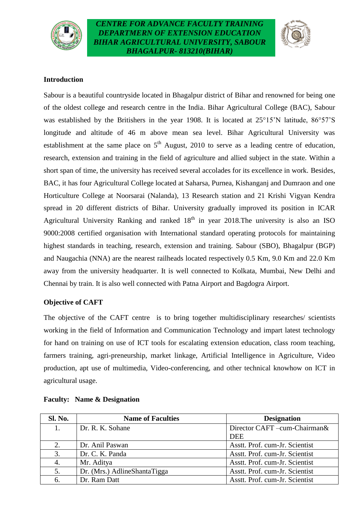



#### **Introduction**

Sabour is a beautiful countryside located in Bhagalpur district of Bihar and renowned for being one of the oldest college and research centre in the India. Bihar Agricultural College (BAC), Sabour was established by the Britishers in the year 1908. It is located at 25°15'N latitude, 86°57'S longitude and altitude of 46 m above mean sea level. Bihar Agricultural University was establishment at the same place on  $5<sup>th</sup>$  August, 2010 to serve as a leading centre of education, research, extension and training in the field of agriculture and allied subject in the state. Within a short span of time, the university has received several accolades for its excellence in work. Besides, BAC, it has four Agricultural College located at Saharsa, Purnea, Kishanganj and Dumraon and one Horticulture College at Noorsarai (Nalanda), 13 Research station and 21 Krishi Vigyan Kendra spread in 20 different districts of Bihar. University gradually improved its position in ICAR Agricultural University Ranking and ranked  $18<sup>th</sup>$  in year 2018. The university is also an ISO 9000:2008 certified organisation with International standard operating protocols for maintaining highest standards in teaching, research, extension and training. Sabour (SBO), Bhagalpur (BGP) and Naugachia (NNA) are the nearest railheads located respectively 0.5 Km, 9.0 Km and 22.0 Km away from the university headquarter. It is well connected to Kolkata, Mumbai, New Delhi and Chennai by train. It is also well connected with Patna Airport and Bagdogra Airport.

#### **Objective of CAFT**

The objective of the CAFT centre is to bring together multidisciplinary researches/ scientists working in the field of Information and Communication Technology and impart latest technology for hand on training on use of ICT tools for escalating extension education, class room teaching, farmers training, agri-preneurship, market linkage, Artificial Intelligence in Agriculture, Video production, apt use of multimedia, Video-conferencing, and other technical knowhow on ICT in agricultural usage.

| <b>Sl. No.</b> | <b>Name of Faculties</b>     | <b>Designation</b>             |
|----------------|------------------------------|--------------------------------|
|                | Dr. R. K. Sohane             | Director CAFT-cum-Chairman&    |
|                |                              | <b>DEE</b>                     |
|                | Dr. Anil Paswan              | Asstt. Prof. cum-Jr. Scientist |
| 3.             | Dr. C. K. Panda              | Asstt. Prof. cum-Jr. Scientist |
| 4.             | Mr. Aditya                   | Asstt. Prof. cum-Jr. Scientist |
| 5.             | Dr. (Mrs.) AdlineShantaTigga | Asstt. Prof. cum-Jr. Scientist |
| 6.             | Dr. Ram Datt                 | Asstt. Prof. cum-Jr. Scientist |

#### **Faculty: Name & Designation**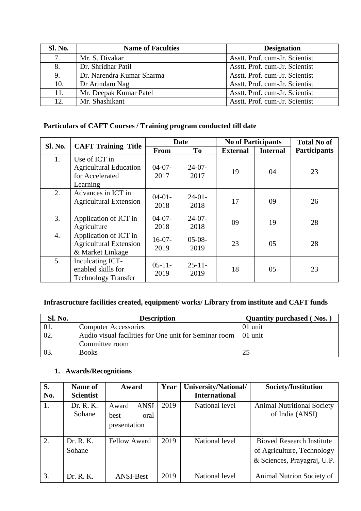| <b>Sl. No.</b> | <b>Name of Faculties</b>  | <b>Designation</b>             |
|----------------|---------------------------|--------------------------------|
| 7.             | Mr. S. Divakar            | Asstt. Prof. cum-Jr. Scientist |
| 8.             | Dr. Shridhar Patil        | Asstt. Prof. cum-Jr. Scientist |
| 9.             | Dr. Narendra Kumar Sharma | Asstt. Prof. cum-Jr. Scientist |
| 10.            | Dr Arindam Nag            | Asstt. Prof. cum-Jr. Scientist |
| 11.            | Mr. Deepak Kumar Patel    | Asstt. Prof. cum-Jr. Scientist |
| 12.            | Mr. Shashikant            | Asstt. Prof. cum-Jr. Scientist |

# **Particulars of CAFT Courses / Training program conducted till date**

| Sl. No. |                                                                               |                  | <b>Date</b>       | <b>No of Participants</b> |                 | <b>Total No of</b>  |
|---------|-------------------------------------------------------------------------------|------------------|-------------------|---------------------------|-----------------|---------------------|
|         | <b>CAFT Training Title</b>                                                    | <b>From</b>      | T <sub>0</sub>    | <b>External</b>           | <b>Internal</b> | <b>Participants</b> |
| 1.      | Use of ICT in<br><b>Agricultural Education</b><br>for Accelerated<br>Learning | $04-07-$<br>2017 | $24-07-$<br>2017  | 19                        | 04              | 23                  |
| 2.      | Advances in ICT in<br><b>Agricultural Extension</b>                           | $04-01-$<br>2018 | $24-01-$<br>2018  | 17                        | 09              | 26                  |
| 3.      | Application of ICT in<br>Agriculture                                          | $04-07-$<br>2018 | $24-07-$<br>2018  | 09                        | 19              | 28                  |
| 4.      | Application of ICT in<br><b>Agricultural Extension</b><br>& Market Linkage    | $16-07-$<br>2019 | $05-08-$<br>2019  | 23                        | 05              | 28                  |
| 5.      | Inculcating ICT-<br>enabled skills for<br><b>Technology Transfer</b>          | $05-11-$<br>2019 | $25 - 11$<br>2019 | 18                        | 05              | 23                  |

# **Infrastructure facilities created, equipment/ works/ Library from institute and CAFT funds**

| <b>Sl. No.</b> | <b>Description</b>                                    | <b>Quantity purchased (Nos.)</b> |
|----------------|-------------------------------------------------------|----------------------------------|
| 01.            | <b>Computer Accessories</b>                           | 01 unit                          |
|                | Audio visual facilities for One unit for Seminar room | 01 unit                          |
|                | Committee room                                        |                                  |
|                | <b>Books</b>                                          |                                  |

# **1. Awards/Recognitions**

| S.  | Name of             | Award                                                | Year | University/National/ | Society/Institution                                                                           |
|-----|---------------------|------------------------------------------------------|------|----------------------|-----------------------------------------------------------------------------------------------|
| No. | <b>Scientist</b>    |                                                      |      | <b>International</b> |                                                                                               |
| 1.  | Dr. R. K.<br>Sohane | <b>ANSI</b><br>Award<br>oral<br>best<br>presentation | 2019 | National level       | <b>Animal Nutritional Society</b><br>of India (ANSI)                                          |
| 2.  | Dr. R. K.<br>Sohane | <b>Fellow Award</b>                                  | 2019 | National level       | <b>Bioved Research Institute</b><br>of Agriculture, Technology<br>& Sciences, Prayagraj, U.P. |
| 3.  | Dr. R. K.           | <b>ANSI-Best</b>                                     | 2019 | National level       | Animal Nutrion Society of                                                                     |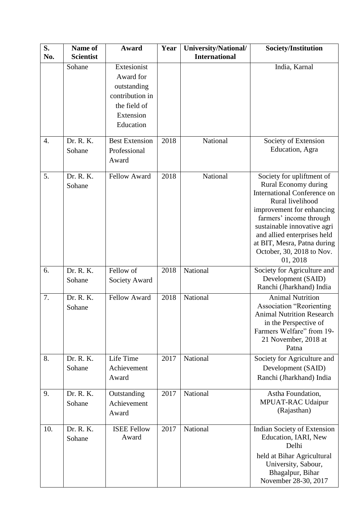| S.<br>No.        | Name of<br><b>Scientist</b> | Award                                                                                                | Year | University/National/<br><b>International</b> | Society/Institution                                                                                                                                                                                                                                                                                       |
|------------------|-----------------------------|------------------------------------------------------------------------------------------------------|------|----------------------------------------------|-----------------------------------------------------------------------------------------------------------------------------------------------------------------------------------------------------------------------------------------------------------------------------------------------------------|
|                  | Sohane                      | Extesionist<br>Award for<br>outstanding<br>contribution in<br>the field of<br>Extension<br>Education |      |                                              | India, Karnal                                                                                                                                                                                                                                                                                             |
| $\overline{4}$ . | Dr. R. K.<br>Sohane         | <b>Best Extension</b><br>Professional<br>Award                                                       | 2018 | National                                     | Society of Extension<br>Education, Agra                                                                                                                                                                                                                                                                   |
| 5.               | Dr. R. K.<br>Sohane         | <b>Fellow Award</b>                                                                                  | 2018 | National                                     | Society for upliftment of<br>Rural Economy during<br><b>International Conference on</b><br>Rural livelihood<br>improvement for enhancing<br>farmers' income through<br>sustainable innovative agri<br>and allied enterprises held<br>at BIT, Mesra, Patna during<br>October, 30, 2018 to Nov.<br>01, 2018 |
| 6.               | Dr. R. K.<br>Sohane         | Fellow of<br>Society Award                                                                           | 2018 | National                                     | Society for Agriculture and<br>Development (SAID)<br>Ranchi (Jharkhand) India                                                                                                                                                                                                                             |
| 7.               | Dr. R. K.<br>Sohane         | <b>Fellow Award</b>                                                                                  | 2018 | National                                     | <b>Animal Nutrition</b><br><b>Association "Reorienting</b><br>Animal Nutrition Research<br>in the Perspective of<br>Farmers Welfare" from 19-<br>21 November, 2018 at<br>Patna                                                                                                                            |
| 8.               | Dr. R. K.<br>Sohane         | Life Time<br>Achievement<br>Award                                                                    | 2017 | National                                     | Society for Agriculture and<br>Development (SAID)<br>Ranchi (Jharkhand) India                                                                                                                                                                                                                             |
| 9.               | Dr. R. K.<br>Sohane         | Outstanding<br>Achievement<br>Award                                                                  | 2017 | National                                     | Astha Foundation,<br>MPUAT-RAC Udaipur<br>(Rajasthan)                                                                                                                                                                                                                                                     |
| 10.              | Dr. R. K.<br>Sohane         | <b>ISEE Fellow</b><br>Award                                                                          | 2017 | National                                     | Indian Society of Extension<br>Education, IARI, New<br>Delhi<br>held at Bihar Agricultural<br>University, Sabour,<br>Bhagalpur, Bihar<br>November 28-30, 2017                                                                                                                                             |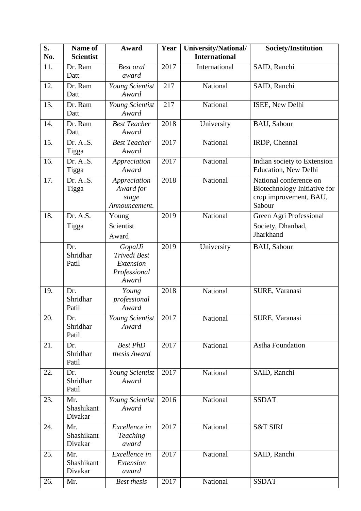| S.<br>No. | Name of<br><b>Scientist</b>  | Award                                                         | Year | University/National/<br><b>International</b> | Society/Institution                                                                        |
|-----------|------------------------------|---------------------------------------------------------------|------|----------------------------------------------|--------------------------------------------------------------------------------------------|
| 11.       | Dr. Ram<br>Datt              | <b>Best</b> oral<br>award                                     | 2017 | International                                | SAID, Ranchi                                                                               |
| 12.       | Dr. Ram<br>Datt              | Young Scientist<br>Award                                      | 217  | National                                     | SAID, Ranchi                                                                               |
| 13.       | Dr. Ram<br>Datt              | Young Scientist<br>Award                                      | 217  | National                                     | ISEE, New Delhi                                                                            |
| 14.       | Dr. Ram<br>Datt              | <b>Best Teacher</b><br>Award                                  | 2018 | University                                   | BAU, Sabour                                                                                |
| 15.       | Dr. A.S.<br>Tigga            | <b>Best Teacher</b><br>Award                                  | 2017 | National                                     | IRDP, Chennai                                                                              |
| 16.       | Dr. A.S.<br>Tigga            | Appreciation<br>Award                                         | 2017 | National                                     | Indian society to Extension<br><b>Education</b> , New Delhi                                |
| 17.       | Dr. A.S.<br>Tigga            | Appreciation<br>Award for<br>stage<br>Announcement.           | 2018 | National                                     | National conference on<br>Biotechnology Initiative for<br>crop improvement, BAU,<br>Sabour |
| 18.       | Dr. A.S.<br>Tigga            | Young<br>Scientist<br>Award                                   | 2019 | National                                     | Green Agri Professional<br>Society, Dhanbad,<br>Jharkhand                                  |
|           | Dr.<br>Shridhar<br>Patil     | GopalJi<br>Trivedi Best<br>Extension<br>Professional<br>Award | 2019 | University                                   | BAU, Sabour                                                                                |
| 19.       | Dr.<br>Shridhar<br>Patil     | Young<br>professional<br>Award                                | 2018 | National                                     | SURE, Varanasi                                                                             |
| 20.       | Dr.<br>Shridhar<br>Patil     | Young Scientist<br>Award                                      | 2017 | National                                     | SURE, Varanasi                                                                             |
| 21.       | Dr.<br>Shridhar<br>Patil     | <b>Best PhD</b><br>thesis Award                               | 2017 | National                                     | Astha Foundation                                                                           |
| 22.       | Dr.<br>Shridhar<br>Patil     | Young Scientist<br>Award                                      | 2017 | National                                     | SAID, Ranchi                                                                               |
| 23.       | Mr.<br>Shashikant<br>Divakar | Young Scientist<br>Award                                      | 2016 | National                                     | <b>SSDAT</b>                                                                               |
| 24.       | Mr.<br>Shashikant<br>Divakar | Excellence in<br><b>Teaching</b><br>award                     | 2017 | National                                     | <b>S&amp;T SIRI</b>                                                                        |
| 25.       | Mr.<br>Shashikant<br>Divakar | Excellence in<br>Extension<br>award                           | 2017 | National                                     | SAID, Ranchi                                                                               |
| 26.       | Mr.                          | <b>Best thesis</b>                                            | 2017 | National                                     | <b>SSDAT</b>                                                                               |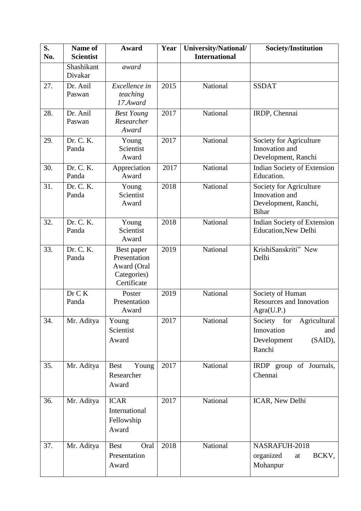| S.<br>No. | Name of<br><b>Scientist</b> | Award                                                                   | Year | University/National/<br><b>International</b> | Society/Institution                                                                     |
|-----------|-----------------------------|-------------------------------------------------------------------------|------|----------------------------------------------|-----------------------------------------------------------------------------------------|
|           | Shashikant<br>Divakar       | award                                                                   |      |                                              |                                                                                         |
| 27.       | Dr. Anil<br>Paswan          | Excellence in<br>teaching<br>17.Award                                   | 2015 | National                                     | <b>SSDAT</b>                                                                            |
| 28.       | Dr. Anil<br>Paswan          | <b>Best Young</b><br>Researcher<br>Award                                | 2017 | National                                     | IRDP, Chennai                                                                           |
| 29.       | Dr. C. K.<br>Panda          | Young<br>Scientist<br>Award                                             | 2017 | National                                     | Society for Agriculture<br>Innovation and<br>Development, Ranchi                        |
| 30.       | Dr. C. K.<br>Panda          | Appreciation<br>Award                                                   | 2017 | National                                     | Indian Society of Extension<br>Education.                                               |
| 31.       | Dr. C. K.<br>Panda          | Young<br>Scientist<br>Award                                             | 2018 | National                                     | Society for Agriculture<br>Innovation and<br>Development, Ranchi,<br><b>Bihar</b>       |
| 32.       | Dr. C. K.<br>Panda          | Young<br>Scientist<br>Award                                             | 2018 | National                                     | Indian Society of Extension<br><b>Education, New Delhi</b>                              |
| 33.       | Dr. C. K.<br>Panda          | Best paper<br>Presentation<br>Award (Oral<br>Categories)<br>Certificate | 2019 | National                                     | KrishiSanskriti" New<br>Delhi                                                           |
|           | Dr C K<br>Panda             | Poster<br>Presentation<br>Award                                         | 2019 | National                                     | Society of Human<br><b>Resources and Innovation</b><br>Agra(U.P.)                       |
| 34.       | Mr. Aditya                  | Young<br>Scientist<br>Award                                             | 2017 | National                                     | Society<br>for<br>Agricultural<br>Innovation<br>and<br>Development<br>(SAID),<br>Ranchi |
| 35.       | Mr. Aditya                  | Young<br><b>Best</b><br>Researcher<br>Award                             | 2017 | National                                     | IRDP group of Journals,<br>Chennai                                                      |
| 36.       | Mr. Aditya                  | <b>ICAR</b><br>International<br>Fellowship<br>Award                     | 2017 | National                                     | ICAR, New Delhi                                                                         |
| 37.       | Mr. Aditya                  | Oral<br><b>Best</b><br>Presentation<br>Award                            | 2018 | National                                     | NASRAFUH-2018<br>BCKV,<br>organized<br>at<br>Mohanpur                                   |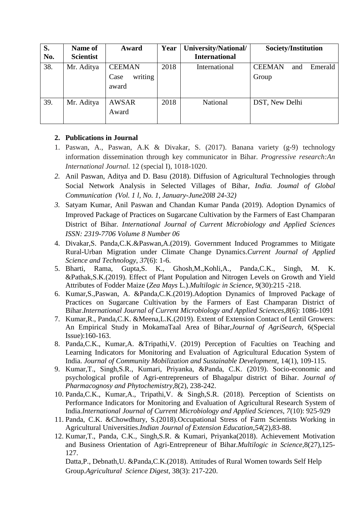| S.  | Name of          | Award           | Year | University/National/ | Society/Institution             |
|-----|------------------|-----------------|------|----------------------|---------------------------------|
| No. | <b>Scientist</b> |                 |      | <b>International</b> |                                 |
| 38. | Mr. Aditya       | <b>CEEMAN</b>   | 2018 | International        | Emerald<br><b>CEEMAN</b><br>and |
|     |                  | writing<br>Case |      |                      | Group                           |
|     |                  | award           |      |                      |                                 |
| 39. | Mr. Aditya       | <b>AWSAR</b>    | 2018 | National             | DST, New Delhi                  |
|     |                  | Award           |      |                      |                                 |
|     |                  |                 |      |                      |                                 |

### **2. Publications in Journal**

- 1. Paswan, A., Paswan, A.K & Divakar, S. (2017). Banana variety (g-9) technology information dissemination through key communicator in Bihar. *Progressive research:An International Journal.* 12 (special I), 1018-1020.
- *2.* Anil Paswan, Aditya and D. Basu (2018). Diffusion of Agricultural Technologies through Social Network Analysis in Selected Villages of Bihar*, India. Joumal of Global Communication (Vol. 1 l, No. 1, January-June20l8 24-32)*
- *3.* Satyam Kumar, Anil Paswan and Chandan Kumar Panda (2019). Adoption Dynamics of Improved Package of Practices on Sugarcane Cultivation by the Farmers of East Champaran District of Bihar*. International Journal of Current Microbiology and Applied Sciences ISSN: 2319-7706 Volume 8 Number 06*
- 4. Divakar,S. Panda,C.K.&Paswan,A.(2019). Government Induced Programmes to Mitigate Rural-Urban Migration under Climate Change Dynamics.*Current Journal of Applied Science and Technology*, *37*(6): 1-6.
- 5. Bharti, Rama, Gupta,S. K., Ghosh,M.,Kohli,A., Panda,C.K., Singh, M. K. &Pathak,S.K.(2019). Effect of Plant Population and Nitrogen Levels on Growth and Yield Attributes of Fodder Maize (*Zea Mays* L.).*Multilogic in Science*, *9*(30):215 -218.
- 6. Kumar,S.,Paswan, A. &Panda,C.K.(2019).Adoption Dynamics of Improved Package of Practices on Sugarcane Cultivation by the Farmers of East Champaran District of Bihar.*International Journal of Current Microbiology and Applied Sciences,8*(6): 1086-1091
- 7. Kumar,R., Panda,C.K. &Meena,L.K.(2019). Extent of Extension Contact of Lentil Growers: An Empirical Study in MokamaTaal Area of Bihar,*Journal of AgriSearch*, 6(Special Issue):160-163.
- 8. Panda,C.K., Kumar,A. &Tripathi,V. (2019) Perception of Faculties on Teaching and Learning Indicators for Monitoring and Evaluation of Agricultural Education System of India. *Journal of Community Mobilization and Sustainable Development,* 14(1), 109-115.
- 9. Kumar,T., Singh,S.R., Kumari, Priyanka, &Panda, C.K. (2019). Socio-economic and psychological profile of Agri-entrepreneurs of Bhagalpur district of Bihar. *Journal of Pharmacognosy and Phytochemistry*,8(2), 238-242.
- 10. Panda,C.K., Kumar,A., Tripathi,V. & Singh,S.R. (2018). Perception of Scientists on Performance Indicators for Monitoring and Evaluation of Agricultural Research System of India.*International Journal of Current Microbiology and Applied Sciences, 7*(10): 925-929
- 11. Panda, C.K. &Chowdhury, S.(2018).Occupational Stress of Farm Scientists Working in Agricultural Universities.*Indian Journal of Extension Education*,*54*(2),83-88.
- 12. Kumar,T., Panda, C.K., Singh,S.R. & Kumari, Priyanka(2018). Achievement Motivation and Business Orientation of Agri-Entrepreneur of Bihar.*Multilogic in Science*,8(27),125- 127.

Datta,P., Debnath,U. &Panda,C.K.(2018). Attitudes of Rural Women towards Self Help Group.*Agricultural Science Digest*, 38(3): 217-220.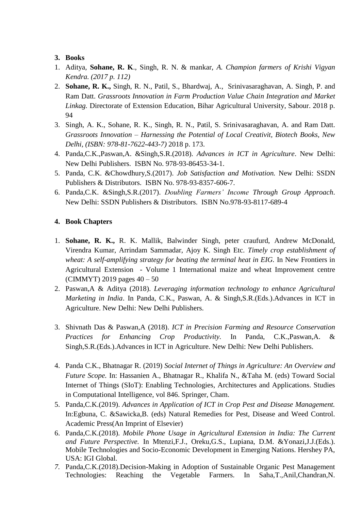### **3. Books**

- 1. Aditya, **Sohane, R. K**., Singh, R. N. & mankar, *A. Champion farmers of Krishi Vigyan Kendra. (2017 p. 112)*
- 2. **Sohane, R. K.,** Singh, R. N., Patil, S., Bhardwaj, A., Srinivasaraghavan, A. Singh, P. and Ram Datt. *Grassroots Innovation in Farm Production Value Chain Integration and Market Linkag.* Directorate of Extension Education, Bihar Agricultural University, Sabour. 2018 p. 94
- 3. Singh, A. K., Sohane, R. K., Singh, R. N., Patil, S. Srinivasaraghavan, A. and Ram Datt. *Grassroots Innovation – Harnessing the Potential of Local Creativit, Biotech Books, New Delhi, (ISBN: 978-81-7622-443-7)* 2018 p. 173.
- 4. Panda,C.K.,Paswan,A. &Singh,S.R.(2018). *Advances in ICT in Agriculture*. New Delhi: New Delhi Publishers. ISBN No. 978-93-86453-34-1.
- 5. Panda, C.K. &Chowdhury,S.(2017). *Job Satisfaction and Motivation.* New Delhi: SSDN Publishers & Distributors. ISBN No. 978-93-8357-606-7.
- 6. Panda,C.K. &Singh,S.R.(2017). *Doubling Farmers' Income Through Group Approach*. New Delhi: SSDN Publishers & Distributors. ISBN No.978-93-8117-689-4

## **4. Book Chapters**

- 1. **Sohane, R. K.,** R. K. Mallik, Balwinder Singh, peter craufurd, Andrew McDonald, Virendra Kumar, Arrindam Sammadar, Ajoy K. Singh Etc. *Timely crop establishment of wheat: A self-amplifying strategy for beating the terminal heat in EIG.* In New Frontiers in Agricultural Extension - Volume 1 International maize and wheat Improvement centre (CIMMYT) 2019 pages 40 – 50
- 2. Paswan,A & Aditya (2018). *Leveraging information technology to enhance Agricultural Marketing in India*. In Panda, C.K., Paswan, A. & Singh,S.R.(Eds.).Advances in ICT in Agriculture. New Delhi: New Delhi Publishers.
- 3. Shivnath Das & Paswan,A (2018). *ICT in Precision Farming and Resource Conservation Practices for Enhancing Crop Productivity.* In Panda, C.K.,Paswan,A. & Singh,S.R.(Eds.).Advances in ICT in Agriculture. New Delhi: New Delhi Publishers.
- 4. Panda C.K., Bhatnagar R. (2019) *Social Internet of Things in Agriculture: An Overview and Future Scope.* In: Hassanien A., Bhatnagar R., Khalifa N., &Taha M. (eds) Toward Social Internet of Things (SIoT): Enabling Technologies, Architectures and Applications. Studies in Computational Intelligence, vol 846. Springer, Cham.
- 5. Panda,C.K.(2019). *Advances in Application of ICT in Crop Pest and Disease Management.* In:Egbuna, C. &Sawicka,B. (eds) Natural Remedies for Pest, Disease and Weed Control. Academic Press(An Imprint of Elsevier)
- 6. Panda,C.K.(2018). *Mobile Phone Usage in Agricultural Extension in India: The Current and Future Perspective.* In Mtenzi,F.J., Oreku,G.S., Lupiana, D.M. &Yonazi,J.J.(Eds.). Mobile Technologies and Socio-Economic Development in Emerging Nations. Hershey PA, USA: IGI Global.
- *7.* Panda,C.K.(2018).Decision-Making in Adoption of Sustainable Organic Pest Management Technologies: Reaching the Vegetable Farmers. In Saha,T.,Anil,Chandran,N.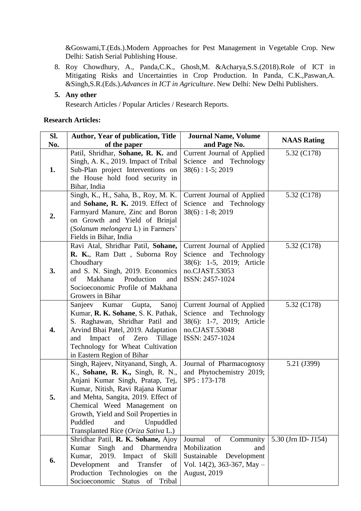&Goswami,T.(Eds.).Modern Approaches for Pest Management in Vegetable Crop. New Delhi: Satish Serial Publishing House.

- 8. Roy Chowdhury, A., Panda,C.K., Ghosh,M. &Acharya,S.S.(2018).Role of ICT in Mitigating Risks and Uncertainties in Crop Production. In Panda, C.K.,Paswan,A. &Singh,S.R.(Eds.).*Advances in ICT in Agriculture*. New Delhi: New Delhi Publishers.
- **5. Any other**

Research Articles / Popular Articles / Research Reports.

#### **Research Articles:**

| Sl.<br>No. | <b>Author, Year of publication, Title</b><br>of the paper                                                                                                                                                                                                                                                                           | <b>Journal Name, Volume</b><br>and Page No.                                                                                            | <b>NAAS Rating</b>  |
|------------|-------------------------------------------------------------------------------------------------------------------------------------------------------------------------------------------------------------------------------------------------------------------------------------------------------------------------------------|----------------------------------------------------------------------------------------------------------------------------------------|---------------------|
| 1.         | Patil, Shridhar, Sohane, R. K. and<br>Singh, A. K., 2019. Impact of Tribal<br>Sub-Plan project Interventions on<br>the House hold food security in<br>Bihar, India                                                                                                                                                                  | Current Journal of Applied<br>Science and Technology<br>$38(6): 1-5; 2019$                                                             | 5.32 (C178)         |
| 2.         | Singh, K., H., Saha, B., Roy, M. K.<br>and Sohane, R. K. 2019. Effect of<br>Farmyard Manure, Zinc and Boron<br>on Growth and Yield of Brinjal<br>(Solanum melongera L) in Farmers'<br>Fields in Bihar, India                                                                                                                        | Current Journal of Applied<br>Science and Technology<br>$38(6): 1-8; 2019$                                                             | 5.32 (C178)         |
| 3.         | Ravi Atal, Shridhar Patil, Sohane,<br>R. K., Ram Datt, Suborna Roy<br>Choudhary<br>and S. N. Singh, 2019. Economics<br>Makhana<br>Production<br>of<br>and<br>Socioeconomic Profile of Makhana<br>Growers in Bihar                                                                                                                   | Current Journal of Applied<br>Science and Technology<br>38(6): 1-5, 2019; Article<br>no.CJAST.53053<br>ISSN: 2457-1024                 | 5.32 (C178)         |
| 4.         | Sanjeev Kumar<br>Sanoj<br>Gupta,<br>Kumar, R. K. Sohane, S. K. Pathak,<br>S. Raghawan, Shridhar Patil and<br>Arvind Bhai Patel, 2019. Adaptation<br>Impact of Zero<br>Tillage<br>and<br>Technology for Wheat Cultivation<br>in Eastern Region of Bihar                                                                              | Current Journal of Applied<br>Science and Technology<br>38(6): 1-7, 2019; Article<br>no.CJAST.53048<br>ISSN: 2457-1024                 | 5.32 (C178)         |
| 5.         | Singh, Rajeev, Nityanand, Singh, A.<br>K., Sohane, R. K., Singh, R. N.,<br>Anjani Kumar Singh, Pratap, Tej,<br>Kumar, Nitish, Ravi Rajana Kumar<br>and Mehta, Sangita, 2019. Effect of<br>Chemical Weed Management on<br>Growth, Yield and Soil Properties in<br>Puddled<br>Unpuddled<br>and<br>Transplanted Rice (Oriza Sativa L.) | Journal of Pharmacognosy<br>and Phytochemistry 2019;<br>SP5: 173-178                                                                   | 5.21 (J399)         |
| 6.         | Shridhar Patil, R. K. Sohane, Ajoy<br>Kumar<br>Singh<br>and Dharmendra<br>Impact of Skill<br>Kumar,<br>2019.<br>Development<br>and<br>Transfer<br>of<br>Production Technologies on the<br>Socioeconomic Status of Tribal                                                                                                            | Journal<br>of<br>Community<br>Mobilization<br>and<br>Sustainable<br>Development<br>Vol. 14(2), 363-367, May $-$<br><b>August, 2019</b> | 5.30 (Jrn ID- J154) |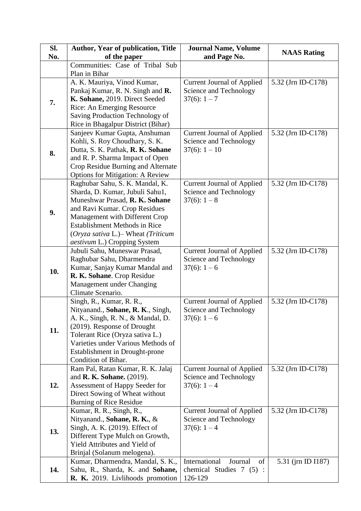| SI. | <b>Author, Year of publication, Title</b>                                                                                                                                                                                                                                                     | <b>Journal Name, Volume</b>                                                    |                    |
|-----|-----------------------------------------------------------------------------------------------------------------------------------------------------------------------------------------------------------------------------------------------------------------------------------------------|--------------------------------------------------------------------------------|--------------------|
| No. | of the paper                                                                                                                                                                                                                                                                                  | and Page No.                                                                   | <b>NAAS Rating</b> |
|     | Communities: Case of Tribal Sub                                                                                                                                                                                                                                                               |                                                                                |                    |
|     | Plan in Bihar                                                                                                                                                                                                                                                                                 |                                                                                |                    |
| 7.  | A. K. Mauriya, Vinod Kumar,<br>Pankaj Kumar, R. N. Singh and R.<br>K. Sohane, 2019. Direct Seeded<br>Rice: An Emerging Resource<br>Saving Production Technology of<br>Rice in Bhagalpur District (Bihar)                                                                                      | <b>Current Journal of Applied</b><br>Science and Technology<br>$37(6): 1-7$    | 5.32 (Jrn ID-C178) |
| 8.  | Sanjeev Kumar Gupta, Anshuman<br>Kohli, S. Roy Choudhary, S. K.<br>Dutta, S. K. Pathak, R. K. Sohane<br>and R. P. Sharma Impact of Open<br>Crop Residue Burning and Alternate<br><b>Options for Mitigation: A Review</b>                                                                      | <b>Current Journal of Applied</b><br>Science and Technology<br>$37(6): 1 - 10$ | 5.32 (Jrn ID-C178) |
| 9.  | Raghubar Sahu, S. K. Mandal, K.<br>Sharda, D. Kumar, Jubuli Sahu1,<br>Muneshwar Prasad, R. K. Sohane<br>and Ravi Kumar. Crop Residues<br>Management with Different Crop<br><b>Establishment Methods in Rice</b><br>$Oryza$ sativa L.)– Wheat (Triticum<br><i>aestivum</i> L.) Cropping System | <b>Current Journal of Applied</b><br>Science and Technology<br>$37(6): 1-8$    | 5.32 (Jrn ID-C178) |
| 10. | Jubuli Sahu, Muneswar Prasad,<br>Raghubar Sahu, Dharmendra<br>Kumar, Sanjay Kumar Mandal and<br>R. K. Sohane. Crop Residue<br>Management under Changing<br>Climate Scenario.                                                                                                                  | <b>Current Journal of Applied</b><br>Science and Technology<br>$37(6): 1-6$    | 5.32 (Jrn ID-C178) |
| 11. | Singh, R., Kumar, R. R.,<br>Nityanand., Sohane, R. K., Singh,<br>A. K., Singh, R. N., & Mandal, D.<br>(2019). Response of Drought<br>Tolerant Rice (Oryza sativa L.)<br>Varieties under Various Methods of<br>Establishment in Drought-prone<br>Condition of Bihar.                           | <b>Current Journal of Applied</b><br>Science and Technology<br>$37(6): 1-6$    | 5.32 (Jrn ID-C178) |
| 12. | Ram Pal, Ratan Kumar, R. K. Jalaj<br>and <b>R. K. Sohane.</b> (2019).<br>Assessment of Happy Seeder for<br>Direct Sowing of Wheat without<br><b>Burning of Rice Residue</b>                                                                                                                   | <b>Current Journal of Applied</b><br>Science and Technology<br>$37(6): 1-4$    | 5.32 (Jrn ID-C178) |
| 13. | Kumar, R. R., Singh, R.,<br>Nityanand., Sohane, R. K., &<br>Singh, A. K. (2019). Effect of<br>Different Type Mulch on Growth,<br>Yield Attributes and Yield of<br>Brinjal (Solanum melogena).                                                                                                 | <b>Current Journal of Applied</b><br>Science and Technology<br>$37(6): 1-4$    | 5.32 (Jrn ID-C178) |
| 14. | Kumar, Dharmendra, Mandal, S. K.,<br>Sahu, R., Sharda, K. and Sohane,<br>R. K. 2019. Livlihoods promotion                                                                                                                                                                                     | International<br>Journal<br>of<br>chemical Studies $7(5)$ :<br>126-129         | 5.31 (jrn ID I187) |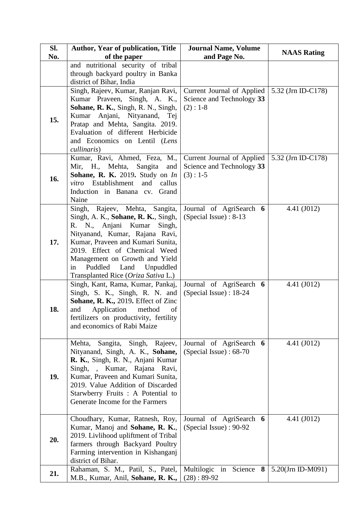| SI. | <b>Author, Year of publication, Title</b>                                                                                                                                                                                                                                                                                           | <b>Journal Name, Volume</b>                                           |                    |
|-----|-------------------------------------------------------------------------------------------------------------------------------------------------------------------------------------------------------------------------------------------------------------------------------------------------------------------------------------|-----------------------------------------------------------------------|--------------------|
| No. | of the paper                                                                                                                                                                                                                                                                                                                        | and Page No.                                                          | <b>NAAS Rating</b> |
|     | and nutritional security of tribal<br>through backyard poultry in Banka<br>district of Bihar, India                                                                                                                                                                                                                                 |                                                                       |                    |
| 15. | Singh, Rajeev, Kumar, Ranjan Ravi,<br>Kumar Praveen, Singh, A. K.,<br>Sohane, R. K., Singh, R. N., Singh,<br>Kumar Anjani, Nityanand,<br>Tej<br>Pratap and Mehta, Sangita. 2019.<br>Evaluation of different Herbicide<br>and Economics on Lentil (Lens<br>cullinaris)                                                               | Current Journal of Applied<br>Science and Technology 33<br>$(2): 1-8$ | 5.32 (Jrn ID-C178) |
| 16. | Kumar, Ravi, Ahmed, Feza, M.,<br>Mir, H., Mehta,<br>Sangita<br>and<br>Sohane, R. K. 2019. Study on In<br>Establishment<br>and<br>callus<br>vitro<br>Induction in Banana cv.<br>Grand<br>Naine                                                                                                                                       | Current Journal of Applied<br>Science and Technology 33<br>$(3): 1-5$ | 5.32 (Jm ID-C178)  |
| 17. | Rajeev, Mehta, Sangita,<br>Singh,<br>Singh, A. K., Sohane, R. K., Singh,<br>N., Anjani Kumar<br>Singh,<br>R.<br>Nityanand, Kumar, Rajana Ravi,<br>Kumar, Praveen and Kumari Sunita,<br>2019. Effect of Chemical Weed<br>Management on Growth and Yield<br>Puddled<br>Land<br>Unpuddled<br>in<br>Transplanted Rice (Oriza Sativa L.) | Journal of AgriSearch 6<br>(Special Issue): 8-13                      | 4.41 (J012)        |
| 18. | Singh, Kant, Rama, Kumar, Pankaj,<br>Singh, S. K., Singh, R. N. and<br>Sohane, R. K., 2019. Effect of Zinc<br>Application<br>method<br>and<br>of<br>fertilizers on productivity, fertility<br>and economics of Rabi Maize                                                                                                           | Journal of AgriSearch 6<br>(Special Issue) : 18-24                    | 4.41 (J012)        |
| 19. | Sangita,<br>Singh,<br>Mehta,<br>Rajeev,<br>Nityanand, Singh, A. K., Sohane,<br>R. K., Singh, R. N., Anjani Kumar<br>Singh, , Kumar, Rajana Ravi,<br>Kumar, Praveen and Kumari Sunita,<br>2019. Value Addition of Discarded<br>Starwberry Fruits : A Potential to<br>Generate Income for the Farmers                                 | Journal of AgriSearch 6<br>(Special Issue): 68-70                     | 4.41 (J012)        |
| 20. | Choudhary, Kumar, Ratnesh, Roy,<br>Kumar, Manoj and Sohane, R. K.,<br>2019. Livlihood upliftment of Tribal<br>farmers through Backyard Poultry<br>Farming intervention in Kishanganj<br>district of Bihar.                                                                                                                          | Journal of AgriSearch 6<br>(Special Issue): 90-92                     | 4.41 (J012)        |
| 21. | Rahaman, S. M., Patil, S., Patel,<br>M.B., Kumar, Anil, Sohane, R. K.,                                                                                                                                                                                                                                                              | Multilogic in Science 8<br>$(28): 89-92$                              | 5.20(Jrn ID-M091)  |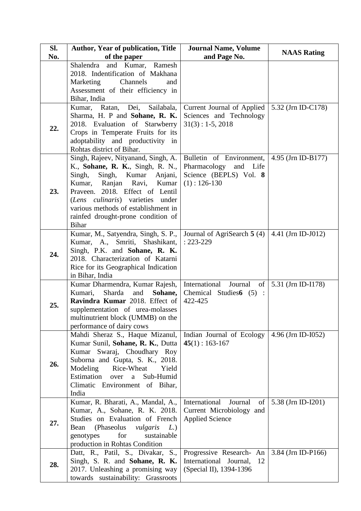| SI. | <b>Author, Year of publication, Title</b>                                                                                                                                                                                                                                                                              | <b>Journal Name, Volume</b>                                                                      | <b>NAAS Rating</b> |
|-----|------------------------------------------------------------------------------------------------------------------------------------------------------------------------------------------------------------------------------------------------------------------------------------------------------------------------|--------------------------------------------------------------------------------------------------|--------------------|
| No. | of the paper                                                                                                                                                                                                                                                                                                           | and Page No.                                                                                     |                    |
|     | and Kumar, Ramesh<br>Shalendra<br>2018. Indentification of Makhana<br>Marketing<br>Channels<br>and<br>Assessment of their efficiency in<br>Bihar, India                                                                                                                                                                |                                                                                                  |                    |
| 22. | Kumar, Ratan,<br>Dei,<br>Sailabala,<br>Sharma, H. P and Sohane, R. K.<br>2018. Evaluation of Starwberry<br>Crops in Temperate Fruits for its<br>adoptability and productivity in<br>Rohtas district of Bihar.                                                                                                          | Current Journal of Applied<br>Sciences and Technology<br>$31(3): 1-5, 2018$                      | 5.32 (Jrn ID-C178) |
| 23. | Singh, Rajeev, Nityanand, Singh, A.<br>K., Sohane, R. K., Singh, R. N.,<br>Singh,<br>Singh,<br>Kumar<br>Anjani,<br>Kumar, Ranjan<br>Kumar<br>Ravi,<br>Praveen. 2018. Effect of Lentil<br>(Lens culinaris) varieties under<br>various methods of establishment in<br>rainfed drought-prone condition of<br><b>Bihar</b> | Bulletin of Environment,<br>Pharmacology<br>and Life<br>Science (BEPLS) Vol. 8<br>$(1): 126-130$ | 4.95 (Jrn ID-B177) |
| 24. | Kumar, M., Satyendra, Singh, S. P.,<br>Kumar, A., Smriti,<br>Shashikant,<br>Singh, P.K. and Sohane, R. K.<br>2018. Characterization of Katarni<br>Rice for its Geographical Indication<br>in Bihar, India                                                                                                              | Journal of AgriSearch 5 (4)<br>$: 223 - 229$                                                     | 4.41 (Jrn ID-J012) |
| 25. | Kumar Dharmendra, Kumar Rajesh,<br>Kumari,<br>Sharda<br>and<br>Sohane,<br>Ravindra Kumar 2018. Effect of<br>supplementation of urea-molasses<br>multinutrient block (UMMB) on the<br>performance of dairy cows                                                                                                         | International<br>Journal<br>of<br>Chemical Studies6 (5):<br>422-425                              | 5.31 (Jrn ID-I178) |
| 26. | Mahdi Sheraz S., Haque Mizanul,<br>Kumar Sunil, Sohane, R. K., Dutta<br>Kumar Swaraj, Choudhary Roy<br>Suborna and Gupta, S. K., 2018.<br>Modeling<br>Rice-Wheat<br>Yield<br>Estimation<br>Sub-Humid<br>over<br>a<br>Climatic Environment of Bihar,<br>India                                                           | Indian Journal of Ecology<br>$45(1): 163-167$                                                    | 4.96 (Jrn ID-I052) |
| 27. | Kumar, R. Bharati, A., Mandal, A.,<br>Kumar, A., Sohane, R. K. 2018.<br>Studies on Evaluation of French<br>(Phaseolus)<br>Bean<br>L)<br>vulgaris<br>for<br>sustainable<br>genotypes<br>production in Rohtas Condition                                                                                                  | International<br>Journal<br>of<br>Current Microbiology and<br><b>Applied Science</b>             | 5.38 (Jrn ID-I201) |
| 28. | Datt, R., Patil, S., Divakar, S.,<br>Singh, S. R. and Sohane, R. K.<br>2017. Unleashing a promising way<br>towards sustainability: Grassroots                                                                                                                                                                          | Progressive Research- An<br>International Journal,<br>12<br>(Special II), 1394-1396              | 3.84 (Jrn ID-P166) |